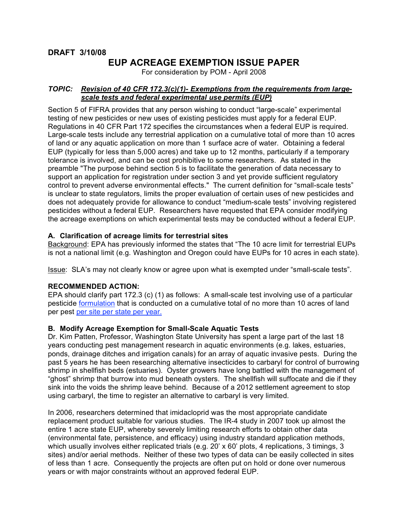# **EUP ACREAGE EXEMPTION ISSUE PAPER**

For consideration by POM - April 2008

# *TOPIC: Revision of 40 CFR 172.3(c)(1)- Exemptions from the requirements from largescale tests and federal experimental use permits (EUP)*

Section 5 of FIFRA provides that any person wishing to conduct "large-scale" experimental testing of new pesticides or new uses of existing pesticides must apply for a federal EUP. Regulations in 40 CFR Part 172 specifies the circumstances when a federal EUP is required. Large-scale tests include any terrestrial application on a cumulative total of more than 10 acres of land or any aquatic application on more than 1 surface acre of water. Obtaining a federal EUP (typically for less than 5,000 acres) and take up to 12 months, particularly if a temporary tolerance is involved, and can be cost prohibitive to some researchers. As stated in the preamble "The purpose behind section 5 is to facilitate the generation of data necessary to support an application for registration under section 3 and yet provide sufficient regulatory control to prevent adverse environmental effects." The current definition for "small-scale tests" is unclear to state regulators, limits the proper evaluation of certain uses of new pesticides and does not adequately provide for allowance to conduct "medium-scale tests" involving registered pesticides without a federal EUP. Researchers have requested that EPA consider modifying the acreage exemptions on which experimental tests may be conducted without a federal EUP.

# **A. Clarification of acreage limits for terrestrial sites**

Background: EPA has previously informed the states that "The 10 acre limit for terrestrial EUPs is not a national limit (e.g. Washington and Oregon could have EUPs for 10 acres in each state).

Issue: SLA's may not clearly know or agree upon what is exempted under "small-scale tests".

#### **RECOMMENDED ACTION:**

EPA should clarify part 172.3 (c) (1) as follows: A small-scale test involving use of a particular pesticide formulation that is conducted on a cumulative total of no more than 10 acres of land per pest per site per state per year.

#### **B. Modify Acreage Exemption for Small-Scale Aquatic Tests**

Dr. Kim Patten, Professor, Washington State University has spent a large part of the last 18 years conducting pest management research in aquatic environments (e.g. lakes, estuaries, ponds, drainage ditches and irrigation canals) for an array of aquatic invasive pests. During the past 5 years he has been researching alternative insecticides to carbaryl for control of burrowing shrimp in shellfish beds (estuaries). Oyster growers have long battled with the management of "ghost" shrimp that burrow into mud beneath oysters. The shellfish will suffocate and die if they sink into the voids the shrimp leave behind. Because of a 2012 settlement agreement to stop using carbaryl, the time to register an alternative to carbaryl is very limited.

In 2006, researchers determined that imidacloprid was the most appropriate candidate replacement product suitable for various studies. The IR-4 study in 2007 took up almost the entire 1 acre state EUP, whereby severely limiting research efforts to obtain other data (environmental fate, persistence, and efficacy) using industry standard application methods, which usually involves either replicated trials (e.g. 20' x 60' plots, 4 replications, 3 timings, 3 sites) and/or aerial methods. Neither of these two types of data can be easily collected in sites of less than 1 acre. Consequently the projects are often put on hold or done over numerous years or with major constraints without an approved federal EUP.